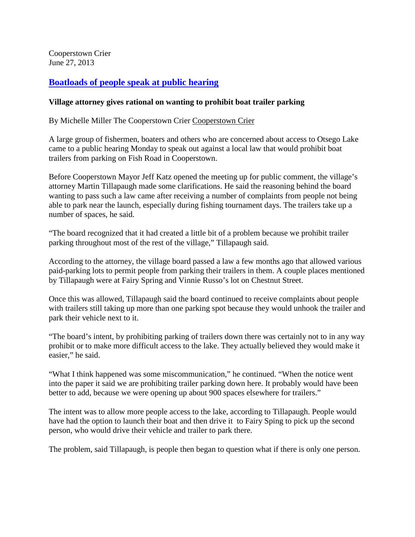Cooperstown Crier June 27, 2013

## **[Boatloads of people speak at public hearing](http://www.coopercrier.com/localnews/x1912993574/Boatloads-of-people-speak-at-public-hearing)**

## **Village attorney gives rational on wanting to prohibit boat trailer parking**

By Michelle Miller The Cooperstown Crier [Cooperstown Crier](http://www.coopercrier.com/)

A large group of fishermen, boaters and others who are concerned about access to Otsego Lake came to a public hearing Monday to speak out against a local law that would prohibit boat trailers from parking on Fish Road in Cooperstown.

Before Cooperstown Mayor Jeff Katz opened the meeting up for public comment, the village's attorney Martin Tillapaugh made some clarifications. He said the reasoning behind the board wanting to pass such a law came after receiving a number of complaints from people not being able to park near the launch, especially during fishing tournament days. The trailers take up a number of spaces, he said.

"The board recognized that it had created a little bit of a problem because we prohibit trailer parking throughout most of the rest of the village," Tillapaugh said.

According to the attorney, the village board passed a law a few months ago that allowed various paid-parking lots to permit people from parking their trailers in them. A couple places mentioned by Tillapaugh were at Fairy Spring and Vinnie Russo's lot on Chestnut Street.

Once this was allowed, Tillapaugh said the board continued to receive complaints about people with trailers still taking up more than one parking spot because they would unhook the trailer and park their vehicle next to it.

"The board's intent, by prohibiting parking of trailers down there was certainly not to in any way prohibit or to make more difficult access to the lake. They actually believed they would make it easier," he said.

"What I think happened was some miscommunication," he continued. "When the notice went into the paper it said we are prohibiting trailer parking down here. It probably would have been better to add, because we were opening up about 900 spaces elsewhere for trailers."

The intent was to allow more people access to the lake, according to Tillapaugh. People would have had the option to launch their boat and then drive it to Fairy Sping to pick up the second person, who would drive their vehicle and trailer to park there.

The problem, said Tillapaugh, is people then began to question what if there is only one person.